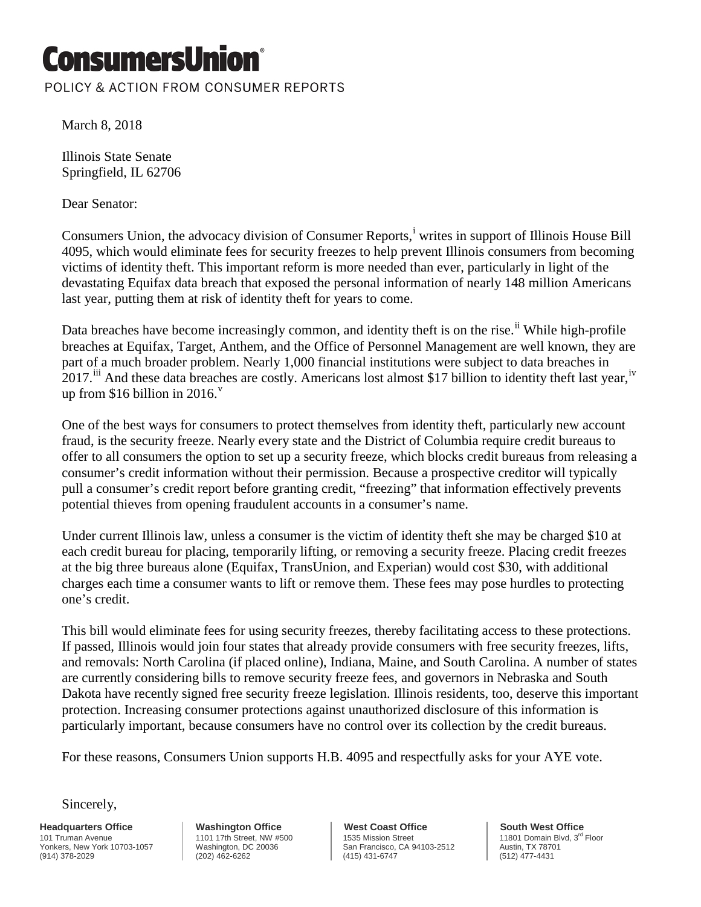## ConsumersUnio

POLICY & ACTION FROM CONSUMER REPORTS

March 8, 2018

Illinois State Senate Springfield, IL 62706

Dear Senator:

Consumers Un[i](#page-1-0)on, the advocacy division of Consumer Reports,<sup>i</sup> writes in support of Illinois House Bill 4095, which would eliminate fees for security freezes to help prevent Illinois consumers from becoming victims of identity theft. This important reform is more needed than ever, particularly in light of the devastating Equifax data breach that exposed the personal information of nearly 148 million Americans last year, putting them at risk of identity theft for years to come.

Data breaches have become increasingly common, and identity theft is on the rise.<sup>[ii](#page-1-1)</sup> While high-profile breaches at Equifax, Target, Anthem, and the Office of Personnel Management are well known, they are part of a much broader problem. Nearly 1,000 financial institutions were subject to data breaches in 2017.<sup>[iii](#page-1-2)</sup> And these data breaches are costly. Americans lost almost \$17 billion to identity theft last year,<sup>[iv](#page-1-3)</sup> up from \$16 billion in 2016. $^{\rm v}$  $^{\rm v}$  $^{\rm v}$ 

One of the best ways for consumers to protect themselves from identity theft, particularly new account fraud, is the security freeze. Nearly every state and the District of Columbia require credit bureaus to offer to all consumers the option to set up a security freeze, which blocks credit bureaus from releasing a consumer's credit information without their permission. Because a prospective creditor will typically pull a consumer's credit report before granting credit, "freezing" that information effectively prevents potential thieves from opening fraudulent accounts in a consumer's name.

Under current Illinois law, unless a consumer is the victim of identity theft she may be charged \$10 at each credit bureau for placing, temporarily lifting, or removing a security freeze. Placing credit freezes at the big three bureaus alone (Equifax, TransUnion, and Experian) would cost \$30, with additional charges each time a consumer wants to lift or remove them. These fees may pose hurdles to protecting one's credit.

This bill would eliminate fees for using security freezes, thereby facilitating access to these protections. If passed, Illinois would join four states that already provide consumers with free security freezes, lifts, and removals: North Carolina (if placed online), Indiana, Maine, and South Carolina. A number of states are currently considering bills to remove security freeze fees, and governors in Nebraska and South Dakota have recently signed free security freeze legislation. Illinois residents, too, deserve this important protection. Increasing consumer protections against unauthorized disclosure of this information is particularly important, because consumers have no control over its collection by the credit bureaus.

For these reasons, Consumers Union supports H.B. 4095 and respectfully asks for your AYE vote.

Sincerely,

**Headquarters Office** 101 Truman Avenue Yonkers, New York 10703-1057 (914) 378-2029

**Washington Office** 1101 17th Street, NW #500 Washington, DC 20036 (202) 462-6262

**West Coast Office** 1535 Mission Street San Francisco, CA 94103-2512 (415) 431-6747

**South West Office** 11801 Domain Blvd, 3rd Floor Austin, TX 78701 (512) 477-4431